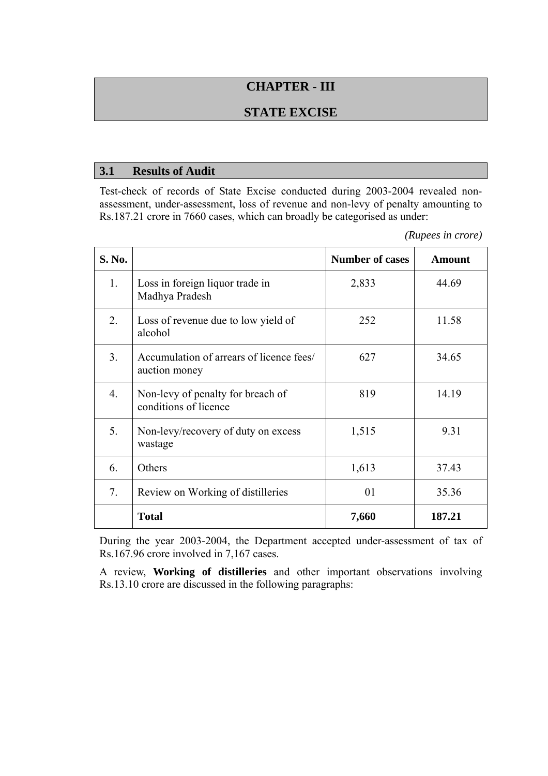# **CHAPTER - III**

### **STATE EXCISE**

#### **3.1 Results of Audit**

Test-check of records of State Excise conducted during 2003-2004 revealed nonassessment, under-assessment, loss of revenue and non-levy of penalty amounting to Rs.187.21 crore in 7660 cases, which can broadly be categorised as under:

*(Rupees in crore)* 

| S. No.           |                                                            | <b>Number of cases</b> | <b>Amount</b> |
|------------------|------------------------------------------------------------|------------------------|---------------|
| $1_{\cdot}$      | Loss in foreign liquor trade in<br>Madhya Pradesh          | 2,833                  | 44.69         |
| 2.               | Loss of revenue due to low yield of<br>alcohol             | 252                    | 11.58         |
| 3 <sub>1</sub>   | Accumulation of arrears of licence fees/<br>auction money  | 627                    | 34.65         |
| $\overline{4}$ . | Non-levy of penalty for breach of<br>conditions of licence | 819                    | 14.19         |
| 5.               | Non-levy/recovery of duty on excess<br>wastage             | 1,515                  | 9.31          |
| 6.               | Others<br>1,613                                            |                        | 37.43         |
| 7.               | Review on Working of distilleries                          | 01                     | 35.36         |
|                  | <b>Total</b>                                               | 7,660                  | 187.21        |

During the year 2003-2004, the Department accepted under-assessment of tax of Rs.167.96 crore involved in 7,167 cases.

A review, **Working of distilleries** and other important observations involving Rs.13.10 crore are discussed in the following paragraphs: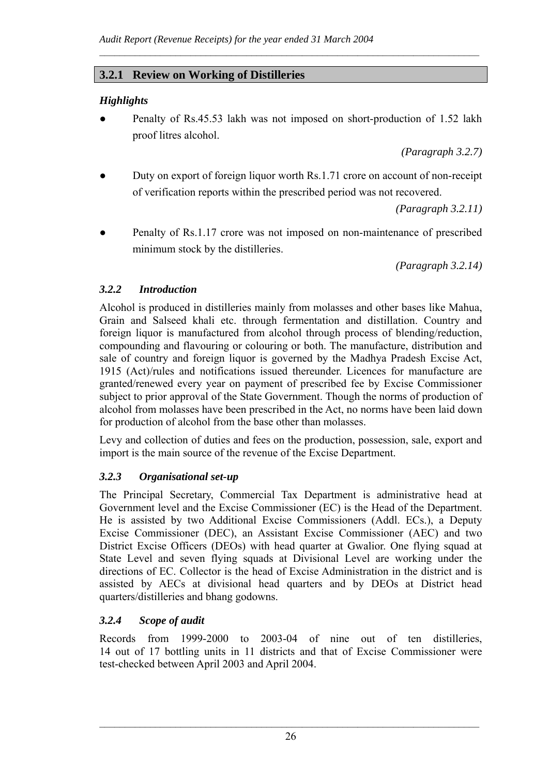## **3.2.1 Review on Working of Distilleries**

### *Highlights*

Penalty of Rs.45.53 lakh was not imposed on short-production of 1.52 lakh proof litres alcohol.

 $\mathcal{L}_\text{max} = \frac{1}{2} \sum_{i=1}^n \mathcal{L}_\text{max} = \frac{1}{2} \sum_{i=1}^n \mathcal{L}_\text{max} = \frac{1}{2} \sum_{i=1}^n \mathcal{L}_\text{max} = \frac{1}{2} \sum_{i=1}^n \mathcal{L}_\text{max} = \frac{1}{2} \sum_{i=1}^n \mathcal{L}_\text{max} = \frac{1}{2} \sum_{i=1}^n \mathcal{L}_\text{max} = \frac{1}{2} \sum_{i=1}^n \mathcal{L}_\text{max} = \frac{1}{2} \sum_{i=$ 

*(Paragraph 3.2.7)*

Duty on export of foreign liquor worth Rs.1.71 crore on account of non-receipt of verification reports within the prescribed period was not recovered.

*(Paragraph 3.2.11)*

Penalty of Rs.1.17 crore was not imposed on non-maintenance of prescribed minimum stock by the distilleries.

*(Paragraph 3.2.14)*

### *3.2.2 Introduction*

Alcohol is produced in distilleries mainly from molasses and other bases like Mahua, Grain and Salseed khali etc. through fermentation and distillation. Country and foreign liquor is manufactured from alcohol through process of blending/reduction, compounding and flavouring or colouring or both. The manufacture, distribution and sale of country and foreign liquor is governed by the Madhya Pradesh Excise Act, 1915 (Act)/rules and notifications issued thereunder. Licences for manufacture are granted/renewed every year on payment of prescribed fee by Excise Commissioner subject to prior approval of the State Government. Though the norms of production of alcohol from molasses have been prescribed in the Act, no norms have been laid down for production of alcohol from the base other than molasses.

Levy and collection of duties and fees on the production, possession, sale, export and import is the main source of the revenue of the Excise Department.

### *3.2.3 Organisational set-up*

The Principal Secretary, Commercial Tax Department is administrative head at Government level and the Excise Commissioner (EC) is the Head of the Department. He is assisted by two Additional Excise Commissioners (Addl. ECs.), a Deputy Excise Commissioner (DEC), an Assistant Excise Commissioner (AEC) and two District Excise Officers (DEOs) with head quarter at Gwalior. One flying squad at State Level and seven flying squads at Divisional Level are working under the directions of EC. Collector is the head of Excise Administration in the district and is assisted by AECs at divisional head quarters and by DEOs at District head quarters/distilleries and bhang godowns.

## *3.2.4 Scope of audit*

Records from 1999-2000 to 2003-04 of nine out of ten distilleries, 14 out of 17 bottling units in 11 districts and that of Excise Commissioner were test-checked between April 2003 and April 2004.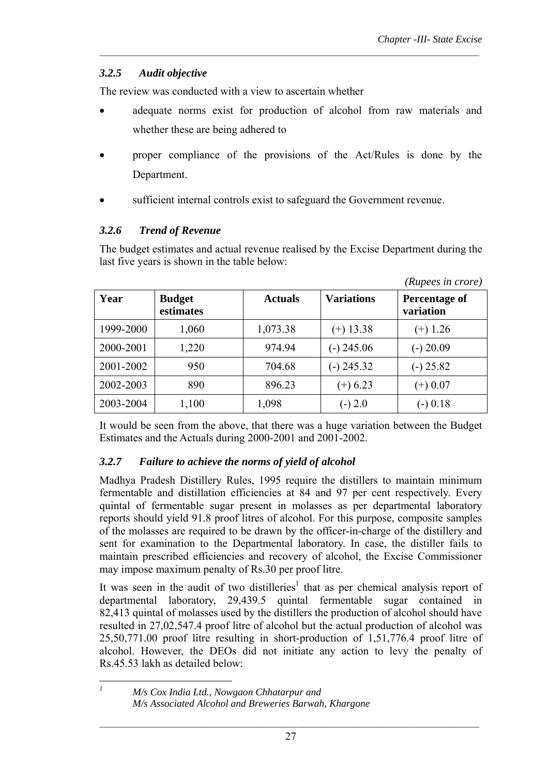### *3.2.5 Audit objective*

The review was conducted with a view to ascertain whether

adequate norms exist for production of alcohol from raw materials and whether these are being adhered to

 $\mathcal{L}_\text{max} = \frac{1}{2} \sum_{i=1}^n \mathcal{L}_\text{max} = \frac{1}{2} \sum_{i=1}^n \mathcal{L}_\text{max} = \frac{1}{2} \sum_{i=1}^n \mathcal{L}_\text{max} = \frac{1}{2} \sum_{i=1}^n \mathcal{L}_\text{max} = \frac{1}{2} \sum_{i=1}^n \mathcal{L}_\text{max} = \frac{1}{2} \sum_{i=1}^n \mathcal{L}_\text{max} = \frac{1}{2} \sum_{i=1}^n \mathcal{L}_\text{max} = \frac{1}{2} \sum_{i=$ 

- proper compliance of the provisions of the Act/Rules is done by the Department.
- sufficient internal controls exist to safeguard the Government revenue.

#### *3.2.6 Trend of Revenue*

The budget estimates and actual revenue realised by the Excise Department during the last five years is shown in the table below:

|           |                            |                |                   | (Rupees in crore)          |
|-----------|----------------------------|----------------|-------------------|----------------------------|
| Year      | <b>Budget</b><br>estimates | <b>Actuals</b> | <b>Variations</b> | Percentage of<br>variation |
| 1999-2000 | 1,060                      | 1,073.38       | $(+)$ 13.38       | $(+)$ 1.26                 |
| 2000-2001 | 1,220                      | 974.94         | $(-)$ 245.06      | $(-)$ 20.09                |
| 2001-2002 | 950                        | 704.68         | $(-)$ 245.32      | $(-)$ 25.82                |
| 2002-2003 | 890                        | 896.23         | $(+) 6.23$        | $(+) 0.07$                 |
| 2003-2004 | 1,100                      | 1,098          | $(-) 2.0$         | $(-) 0.18$                 |

It would be seen from the above, that there was a huge variation between the Budget Estimates and the Actuals during 2000-2001 and 2001-2002.

### *3.2.7 Failure to achieve the norms of yield of alcohol*

Madhya Pradesh Distillery Rules, 1995 require the distillers to maintain minimum fermentable and distillation efficiencies at 84 and 97 per cent respectively. Every quintal of fermentable sugar present in molasses as per departmental laboratory reports should yield 91.8 proof litres of alcohol. For this purpose, composite samples of the molasses are required to be drawn by the officer-in-charge of the distillery and sent for examination to the Departmental laboratory. In case, the distiller fails to maintain prescribed efficiencies and recovery of alcohol, the Excise Commissioner may impose maximum penalty of Rs.30 per proof litre.

It was seen in the audit of two distilleries<sup>1</sup> that as per chemical analysis report of departmental laboratory, 29,439.5 quintal fermentable sugar contained in 82,413 quintal of molasses used by the distillers the production of alcohol should have resulted in 27,02,547.4 proof litre of alcohol but the actual production of alcohol was 25,50,771.00 proof litre resulting in short-production of 1,51,776.4 proof litre of alcohol. However, the DEOs did not initiate any action to levy the penalty of Rs.45.53 lakh as detailed below:

 $\mathcal{I}$ 

*<sup>1</sup> M/s Cox India Ltd., Nowgaon Chhatarpur and M/s Associated Alcohol and Breweries Barwah, Khargone*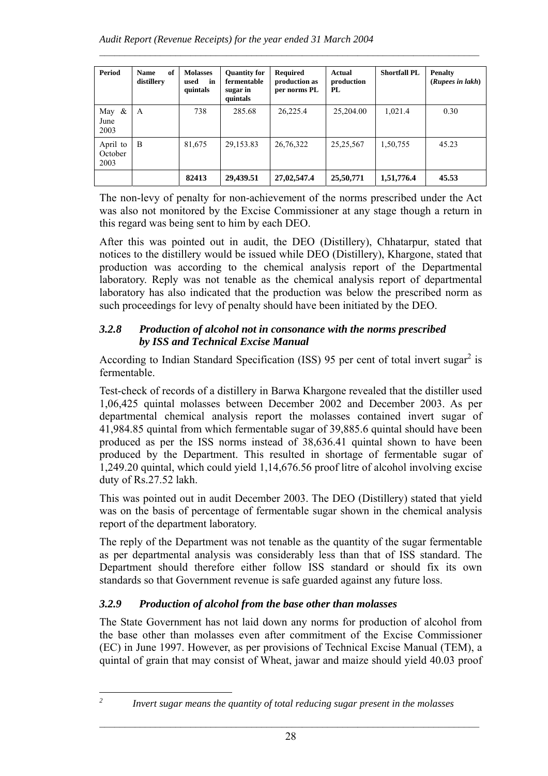| Period                      | of<br><b>Name</b><br>distillery | <b>Molasses</b><br>in<br>used<br>quintals | <b>Quantity for</b><br>fermentable<br>sugar in<br>quintals | <b>Required</b><br>production as<br>per norms PL | Actual<br>production<br>PL | <b>Shortfall PL</b> | <b>Penalty</b><br>(Rupees in lakh) |
|-----------------------------|---------------------------------|-------------------------------------------|------------------------------------------------------------|--------------------------------------------------|----------------------------|---------------------|------------------------------------|
| May $\&$<br>June<br>2003    | A                               | 738                                       | 285.68                                                     | 26,225.4                                         | 25,204.00                  | 1,021.4             | 0.30                               |
| April to<br>October<br>2003 | B                               | 81,675                                    | 29,153.83                                                  | 26,76,322                                        | 25, 25, 567                | 1,50,755            | 45.23                              |
|                             |                                 | 82413                                     | 29,439.51                                                  | 27,02,547.4                                      | 25,50,771                  | 1,51,776.4          | 45.53                              |

 $\mathcal{L}_\text{max} = \frac{1}{2} \sum_{i=1}^n \mathcal{L}_\text{max} = \frac{1}{2} \sum_{i=1}^n \mathcal{L}_\text{max} = \frac{1}{2} \sum_{i=1}^n \mathcal{L}_\text{max} = \frac{1}{2} \sum_{i=1}^n \mathcal{L}_\text{max} = \frac{1}{2} \sum_{i=1}^n \mathcal{L}_\text{max} = \frac{1}{2} \sum_{i=1}^n \mathcal{L}_\text{max} = \frac{1}{2} \sum_{i=1}^n \mathcal{L}_\text{max} = \frac{1}{2} \sum_{i=$ 

The non-levy of penalty for non-achievement of the norms prescribed under the Act was also not monitored by the Excise Commissioner at any stage though a return in this regard was being sent to him by each DEO.

After this was pointed out in audit, the DEO (Distillery), Chhatarpur, stated that notices to the distillery would be issued while DEO (Distillery), Khargone, stated that production was according to the chemical analysis report of the Departmental laboratory. Reply was not tenable as the chemical analysis report of departmental laboratory has also indicated that the production was below the prescribed norm as such proceedings for levy of penalty should have been initiated by the DEO.

### *3.2.8 Production of alcohol not in consonance with the norms prescribed by ISS and Technical Excise Manual*

According to Indian Standard Specification (ISS) 95 per cent of total invert sugar<sup>2</sup> is fermentable.

Test-check of records of a distillery in Barwa Khargone revealed that the distiller used 1,06,425 quintal molasses between December 2002 and December 2003. As per departmental chemical analysis report the molasses contained invert sugar of 41,984.85 quintal from which fermentable sugar of 39,885.6 quintal should have been produced as per the ISS norms instead of 38,636.41 quintal shown to have been produced by the Department. This resulted in shortage of fermentable sugar of 1,249.20 quintal, which could yield 1,14,676.56 proof litre of alcohol involving excise duty of Rs.27.52 lakh.

This was pointed out in audit December 2003. The DEO (Distillery) stated that yield was on the basis of percentage of fermentable sugar shown in the chemical analysis report of the department laboratory.

The reply of the Department was not tenable as the quantity of the sugar fermentable as per departmental analysis was considerably less than that of ISS standard. The Department should therefore either follow ISS standard or should fix its own standards so that Government revenue is safe guarded against any future loss.

## *3.2.9 Production of alcohol from the base other than molasses*

The State Government has not laid down any norms for production of alcohol from the base other than molasses even after commitment of the Excise Commissioner (EC) in June 1997. However, as per provisions of Technical Excise Manual (TEM), a quintal of grain that may consist of Wheat, jawar and maize should yield 40.03 proof

*2*

*Invert sugar means the quantity of total reducing sugar present in the molasses*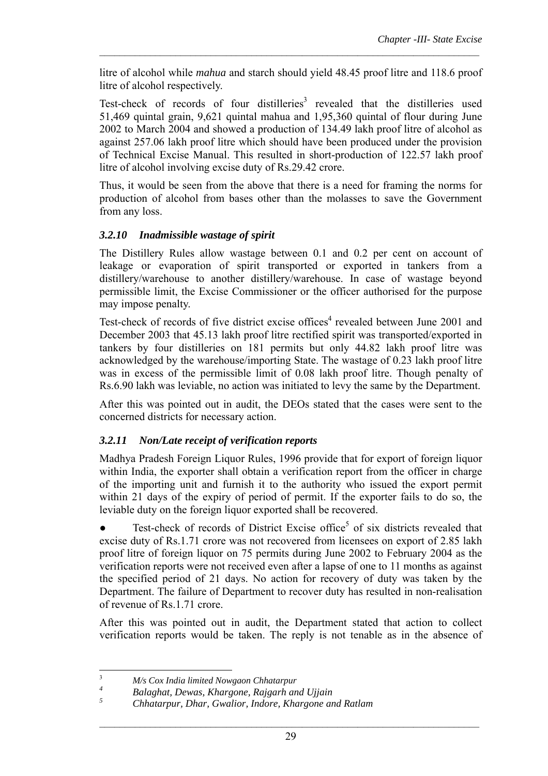litre of alcohol while *mahua* and starch should yield 48.45 proof litre and 118.6 proof litre of alcohol respectively.

 $\mathcal{L}_\text{max} = \frac{1}{2} \sum_{i=1}^n \mathcal{L}_\text{max} = \frac{1}{2} \sum_{i=1}^n \mathcal{L}_\text{max} = \frac{1}{2} \sum_{i=1}^n \mathcal{L}_\text{max} = \frac{1}{2} \sum_{i=1}^n \mathcal{L}_\text{max} = \frac{1}{2} \sum_{i=1}^n \mathcal{L}_\text{max} = \frac{1}{2} \sum_{i=1}^n \mathcal{L}_\text{max} = \frac{1}{2} \sum_{i=1}^n \mathcal{L}_\text{max} = \frac{1}{2} \sum_{i=$ 

Test-check of records of four distilleries<sup>3</sup> revealed that the distilleries used 51,469 quintal grain, 9,621 quintal mahua and 1,95,360 quintal of flour during June 2002 to March 2004 and showed a production of 134.49 lakh proof litre of alcohol as against 257.06 lakh proof litre which should have been produced under the provision of Technical Excise Manual. This resulted in short-production of 122.57 lakh proof litre of alcohol involving excise duty of Rs.29.42 crore.

Thus, it would be seen from the above that there is a need for framing the norms for production of alcohol from bases other than the molasses to save the Government from any loss.

### *3.2.10 Inadmissible wastage of spirit*

The Distillery Rules allow wastage between 0.1 and 0.2 per cent on account of leakage or evaporation of spirit transported or exported in tankers from a distillery/warehouse to another distillery/warehouse. In case of wastage beyond permissible limit, the Excise Commissioner or the officer authorised for the purpose may impose penalty.

Test-check of records of five district excise offices<sup>4</sup> revealed between June 2001 and December 2003 that 45.13 lakh proof litre rectified spirit was transported/exported in tankers by four distilleries on 181 permits but only 44.82 lakh proof litre was acknowledged by the warehouse/importing State. The wastage of 0.23 lakh proof litre was in excess of the permissible limit of 0.08 lakh proof litre. Though penalty of Rs.6.90 lakh was leviable, no action was initiated to levy the same by the Department.

After this was pointed out in audit, the DEOs stated that the cases were sent to the concerned districts for necessary action.

### *3.2.11 Non/Late receipt of verification reports*

Madhya Pradesh Foreign Liquor Rules, 1996 provide that for export of foreign liquor within India, the exporter shall obtain a verification report from the officer in charge of the importing unit and furnish it to the authority who issued the export permit within 21 days of the expiry of period of permit. If the exporter fails to do so, the leviable duty on the foreign liquor exported shall be recovered.

 $\bullet$  Test-check of records of District Excise office<sup>5</sup> of six districts revealed that excise duty of Rs.1.71 crore was not recovered from licensees on export of 2.85 lakh proof litre of foreign liquor on 75 permits during June 2002 to February 2004 as the verification reports were not received even after a lapse of one to 11 months as against the specified period of 21 days. No action for recovery of duty was taken by the Department. The failure of Department to recover duty has resulted in non-realisation of revenue of Rs.1.71 crore.

After this was pointed out in audit, the Department stated that action to collect verification reports would be taken. The reply is not tenable as in the absence of

 3 *M/s Cox India limited Nowgaon Chhatarpur* 

*<sup>4</sup> Balaghat, Dewas, Khargone, Rajgarh and Ujjain*

*<sup>5</sup> Chhatarpur, Dhar, Gwalior, Indore, Khargone and Ratlam*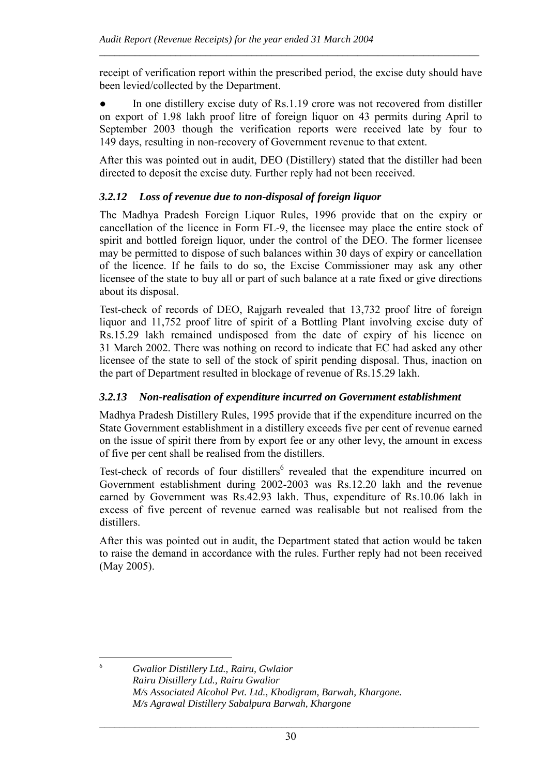receipt of verification report within the prescribed period, the excise duty should have been levied/collected by the Department.

 $\mathcal{L}_\text{max} = \frac{1}{2} \sum_{i=1}^n \mathcal{L}_\text{max} = \frac{1}{2} \sum_{i=1}^n \mathcal{L}_\text{max} = \frac{1}{2} \sum_{i=1}^n \mathcal{L}_\text{max} = \frac{1}{2} \sum_{i=1}^n \mathcal{L}_\text{max} = \frac{1}{2} \sum_{i=1}^n \mathcal{L}_\text{max} = \frac{1}{2} \sum_{i=1}^n \mathcal{L}_\text{max} = \frac{1}{2} \sum_{i=1}^n \mathcal{L}_\text{max} = \frac{1}{2} \sum_{i=$ 

In one distillery excise duty of Rs.1.19 crore was not recovered from distiller on export of 1.98 lakh proof litre of foreign liquor on 43 permits during April to September 2003 though the verification reports were received late by four to 149 days, resulting in non-recovery of Government revenue to that extent.

After this was pointed out in audit, DEO (Distillery) stated that the distiller had been directed to deposit the excise duty. Further reply had not been received.

## *3.2.12 Loss of revenue due to non-disposal of foreign liquor*

The Madhya Pradesh Foreign Liquor Rules, 1996 provide that on the expiry or cancellation of the licence in Form FL-9, the licensee may place the entire stock of spirit and bottled foreign liquor, under the control of the DEO. The former licensee may be permitted to dispose of such balances within 30 days of expiry or cancellation of the licence. If he fails to do so, the Excise Commissioner may ask any other licensee of the state to buy all or part of such balance at a rate fixed or give directions about its disposal.

Test-check of records of DEO, Rajgarh revealed that 13,732 proof litre of foreign liquor and 11,752 proof litre of spirit of a Bottling Plant involving excise duty of Rs.15.29 lakh remained undisposed from the date of expiry of his licence on 31 March 2002. There was nothing on record to indicate that EC had asked any other licensee of the state to sell of the stock of spirit pending disposal. Thus, inaction on the part of Department resulted in blockage of revenue of Rs.15.29 lakh.

## *3.2.13 Non-realisation of expenditure incurred on Government establishment*

Madhya Pradesh Distillery Rules, 1995 provide that if the expenditure incurred on the State Government establishment in a distillery exceeds five per cent of revenue earned on the issue of spirit there from by export fee or any other levy, the amount in excess of five per cent shall be realised from the distillers.

Test-check of records of four distillers<sup>6</sup> revealed that the expenditure incurred on Government establishment during 2002-2003 was Rs.12.20 lakh and the revenue earned by Government was Rs.42.93 lakh. Thus, expenditure of Rs.10.06 lakh in excess of five percent of revenue earned was realisable but not realised from the distillers.

After this was pointed out in audit, the Department stated that action would be taken to raise the demand in accordance with the rules. Further reply had not been received (May 2005).

 $\overline{a}$ 6

*Gwalior Distillery Ltd., Rairu, Gwlaior Rairu Distillery Ltd., Rairu Gwalior M/s Associated Alcohol Pvt. Ltd., Khodigram, Barwah, Khargone. M/s Agrawal Distillery Sabalpura Barwah, Khargone*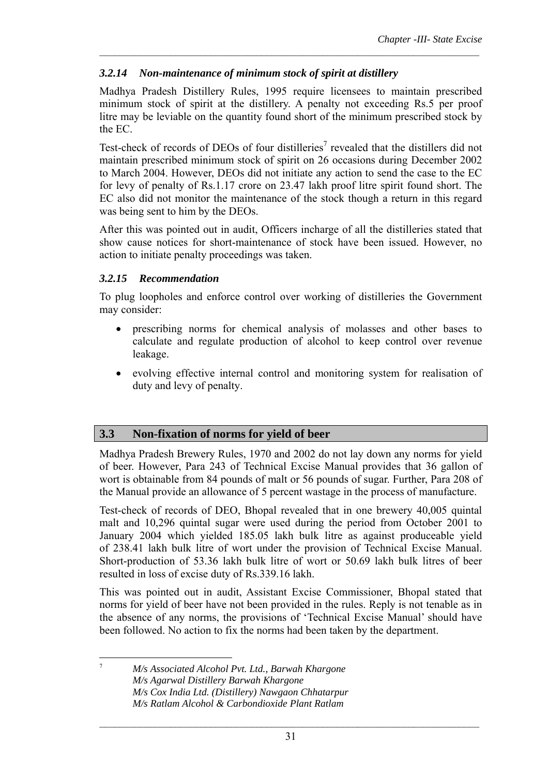### *3.2.14 Non-maintenance of minimum stock of spirit at distillery*

Madhya Pradesh Distillery Rules, 1995 require licensees to maintain prescribed minimum stock of spirit at the distillery. A penalty not exceeding Rs.5 per proof litre may be leviable on the quantity found short of the minimum prescribed stock by the EC.

 $\mathcal{L}_\text{max} = \frac{1}{2} \sum_{i=1}^n \mathcal{L}_\text{max} = \frac{1}{2} \sum_{i=1}^n \mathcal{L}_\text{max} = \frac{1}{2} \sum_{i=1}^n \mathcal{L}_\text{max} = \frac{1}{2} \sum_{i=1}^n \mathcal{L}_\text{max} = \frac{1}{2} \sum_{i=1}^n \mathcal{L}_\text{max} = \frac{1}{2} \sum_{i=1}^n \mathcal{L}_\text{max} = \frac{1}{2} \sum_{i=1}^n \mathcal{L}_\text{max} = \frac{1}{2} \sum_{i=$ 

Test-check of records of DEOs of four distilleries<sup>7</sup> revealed that the distillers did not maintain prescribed minimum stock of spirit on 26 occasions during December 2002 to March 2004. However, DEOs did not initiate any action to send the case to the EC for levy of penalty of Rs.1.17 crore on 23.47 lakh proof litre spirit found short. The EC also did not monitor the maintenance of the stock though a return in this regard was being sent to him by the DEOs.

After this was pointed out in audit, Officers incharge of all the distilleries stated that show cause notices for short-maintenance of stock have been issued. However, no action to initiate penalty proceedings was taken.

### *3.2.15 Recommendation*

To plug loopholes and enforce control over working of distilleries the Government may consider:

- prescribing norms for chemical analysis of molasses and other bases to calculate and regulate production of alcohol to keep control over revenue leakage.
- evolving effective internal control and monitoring system for realisation of duty and levy of penalty.

### **3.3 Non-fixation of norms for yield of beer**

Madhya Pradesh Brewery Rules, 1970 and 2002 do not lay down any norms for yield of beer. However, Para 243 of Technical Excise Manual provides that 36 gallon of wort is obtainable from 84 pounds of malt or 56 pounds of sugar. Further, Para 208 of the Manual provide an allowance of 5 percent wastage in the process of manufacture.

Test-check of records of DEO, Bhopal revealed that in one brewery 40,005 quintal malt and 10,296 quintal sugar were used during the period from October 2001 to January 2004 which yielded 185.05 lakh bulk litre as against produceable yield of 238.41 lakh bulk litre of wort under the provision of Technical Excise Manual. Short-production of 53.36 lakh bulk litre of wort or 50.69 lakh bulk litres of beer resulted in loss of excise duty of Rs.339.16 lakh.

This was pointed out in audit, Assistant Excise Commissioner, Bhopal stated that norms for yield of beer have not been provided in the rules. Reply is not tenable as in the absence of any norms, the provisions of 'Technical Excise Manual' should have been followed. No action to fix the norms had been taken by the department.

7 *M/s Associated Alcohol Pvt. Ltd., Barwah Khargone M/s Agarwal Distillery Barwah Khargone M/s Cox India Ltd. (Distillery) Nawgaon Chhatarpur M/s Ratlam Alcohol & Carbondioxide Plant Ratlam*

 $\overline{a}$